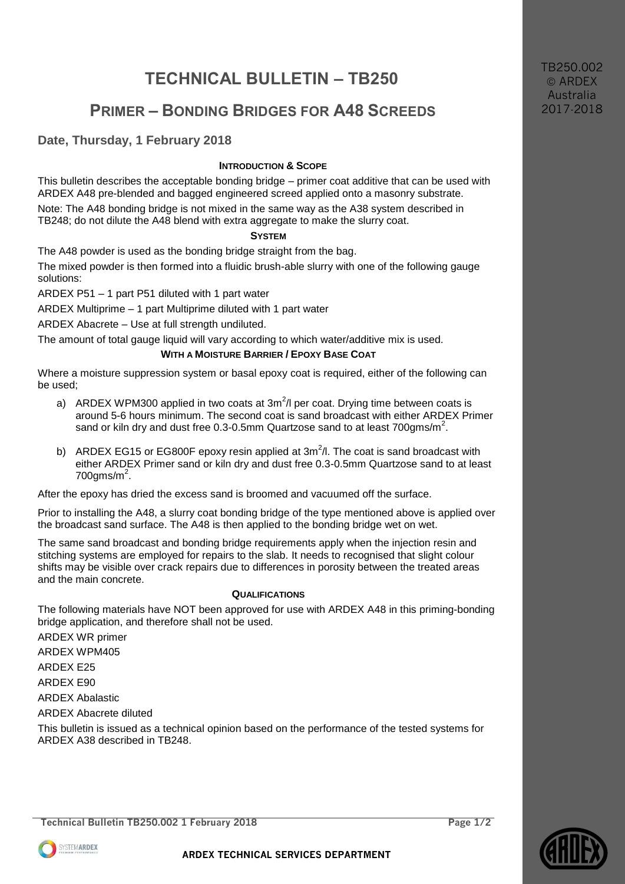# **TECHNICAL BULLETIN – TB250**

## **PRIMER – BONDING BRIDGES FOR A48 SCREEDS**

## **Date, Thursday, 1 February 2018**

## **INTRODUCTION & SCOPE**

This bulletin describes the acceptable bonding bridge – primer coat additive that can be used with ARDEX A48 pre-blended and bagged engineered screed applied onto a masonry substrate.

Note: The A48 bonding bridge is not mixed in the same way as the A38 system described in TB248; do not dilute the A48 blend with extra aggregate to make the slurry coat.

#### **SYSTEM**

The A48 powder is used as the bonding bridge straight from the bag.

The mixed powder is then formed into a fluidic brush-able slurry with one of the following gauge solutions:

ARDEX P51 – 1 part P51 diluted with 1 part water

ARDEX Multiprime – 1 part Multiprime diluted with 1 part water

ARDEX Abacrete – Use at full strength undiluted.

The amount of total gauge liquid will vary according to which water/additive mix is used.

## **WITH A MOISTURE BARRIER / EPOXY BASE COAT**

Where a moisture suppression system or basal epoxy coat is required, either of the following can be used;

- a) ARDEX WPM300 applied in two coats at 3m<sup>2</sup>/l per coat. Drying time between coats is around 5-6 hours minimum. The second coat is sand broadcast with either ARDEX Primer sand or kiln dry and dust free 0.3-0.5mm Quartzose sand to at least 700gms/m<sup>2</sup>.
- b) ARDEX EG15 or EG800F epoxy resin applied at  $3m^2/l$ . The coat is sand broadcast with either ARDEX Primer sand or kiln dry and dust free 0.3-0.5mm Quartzose sand to at least  $700$ gms/m<sup>2</sup>.

After the epoxy has dried the excess sand is broomed and vacuumed off the surface.

Prior to installing the A48, a slurry coat bonding bridge of the type mentioned above is applied over the broadcast sand surface. The A48 is then applied to the bonding bridge wet on wet.

The same sand broadcast and bonding bridge requirements apply when the injection resin and stitching systems are employed for repairs to the slab. It needs to recognised that slight colour shifts may be visible over crack repairs due to differences in porosity between the treated areas and the main concrete.

#### **QUALIFICATIONS**

The following materials have NOT been approved for use with ARDEX A48 in this priming-bonding bridge application, and therefore shall not be used.

ARDEX WR primer

ARDEX WPM405

ARDEX E25

ARDEX E90

ARDEX Abalastic

ARDEX Abacrete diluted

This bulletin is issued as a technical opinion based on the performance of the tested systems for ARDEX A38 described in TB248.







TB250.002 © ARDEX Australia 2017-2018